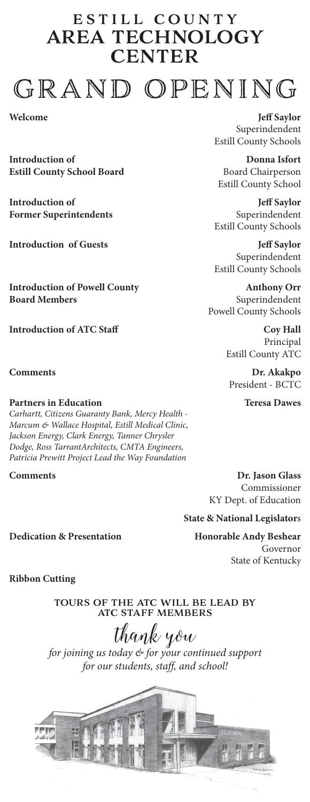## estill county area technology **CENTER** GRAND OPENING

**Welcome**

**Introduction of Estill County School Board**

**Introduction of Former Superintendents**

**Introduction of Guests**

**Introduction of Powell County Board Members**

**Introduction of ATC Staff**

**Comments**

## **Partners in Education**

*Carhartt, Citizens Guaranty Bank, Mercy Health - Marcum & Wallace Hospital, Estill Medical Clinic, Jackson Energy, Clark Energy, Tanner Chrysler Dodge, Ross TarrantArchitects, CMTA Engineers, Patricia Prewitt Project Lead the Way Foundation*

## **Comments**

**Jeff Saylor** Superindendent Estill County Schools

**Donna Isfort** Board Chairperson Estill County School

**Jeff Saylor** Superindendent Estill County Schools

**Jeff Saylor** Superindendent Estill County Schools

**Anthony Orr** Superindendent Powell County Schools

> **Coy Hall** Principal Estill County ATC

**Dr. Akakpo** President - BCTC

**Teresa Dawes**

**Dr. Jason Glass** Commissioner KY Dept. of Education

**State & National Legislator**s

**Honorable Andy Beshear** Governor State of Kentucky

**Dedication & Presentation**

**Ribbon Cutting**

tours of the atc will be lead by atc staff members

thank you *for joining us today & for your continued support for our students, staff, and school!*